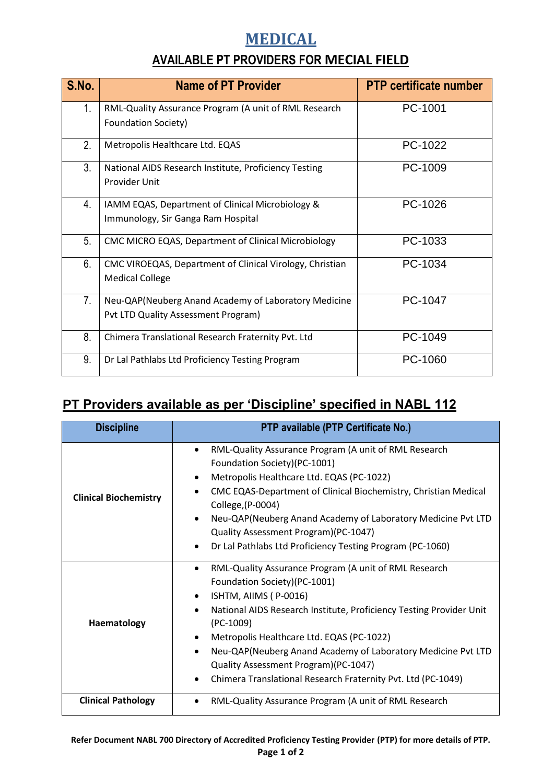## **MEDICAL**

## **AVAILABLE PT PROVIDERS FOR MECIAL FIELD**

| S.No.          | <b>Name of PT Provider</b>                                                                  | <b>PTP certificate number</b> |
|----------------|---------------------------------------------------------------------------------------------|-------------------------------|
| 1.             | RML-Quality Assurance Program (A unit of RML Research<br><b>Foundation Society)</b>         | PC-1001                       |
| 2.             | Metropolis Healthcare Ltd. EQAS                                                             | PC-1022                       |
| 3.             | National AIDS Research Institute, Proficiency Testing<br>Provider Unit                      | PC-1009                       |
| 4.             | IAMM EQAS, Department of Clinical Microbiology &<br>Immunology, Sir Ganga Ram Hospital      | PC-1026                       |
| 5 <sub>1</sub> | CMC MICRO EQAS, Department of Clinical Microbiology                                         | PC-1033                       |
| 6.             | CMC VIROEQAS, Department of Clinical Virology, Christian<br><b>Medical College</b>          | PC-1034                       |
| 7.             | Neu-QAP(Neuberg Anand Academy of Laboratory Medicine<br>Pvt LTD Quality Assessment Program) | PC-1047                       |
| 8.             | Chimera Translational Research Fraternity Pvt. Ltd                                          | PC-1049                       |
| 9.             | Dr Lal Pathlabs Ltd Proficiency Testing Program                                             | PC-1060                       |

## **PT Providers available as per 'Discipline' specified in NABL 112**

| <b>Discipline</b>            | PTP available (PTP Certificate No.)                                                                                                      |
|------------------------------|------------------------------------------------------------------------------------------------------------------------------------------|
|                              | RML-Quality Assurance Program (A unit of RML Research<br>Foundation Society)(PC-1001)<br>Metropolis Healthcare Ltd. EQAS (PC-1022)       |
| <b>Clinical Biochemistry</b> | CMC EQAS-Department of Clinical Biochemistry, Christian Medical<br>$\bullet$<br>College, (P-0004)                                        |
|                              | Neu-QAP(Neuberg Anand Academy of Laboratory Medicine Pvt LTD<br>Quality Assessment Program)(PC-1047)                                     |
|                              | Dr Lal Pathlabs Ltd Proficiency Testing Program (PC-1060)<br>$\bullet$                                                                   |
|                              | RML-Quality Assurance Program (A unit of RML Research<br>$\bullet$<br>Foundation Society)(PC-1001)<br>ISHTM, AIIMS (P-0016)<br>$\bullet$ |
| Haematology                  | National AIDS Research Institute, Proficiency Testing Provider Unit<br>$\bullet$<br>$(PC-1009)$                                          |
|                              | Metropolis Healthcare Ltd. EQAS (PC-1022)<br>$\bullet$                                                                                   |
|                              | Neu-QAP(Neuberg Anand Academy of Laboratory Medicine Pvt LTD<br>Quality Assessment Program)(PC-1047)                                     |
|                              | Chimera Translational Research Fraternity Pvt. Ltd (PC-1049)                                                                             |
| <b>Clinical Pathology</b>    | RML-Quality Assurance Program (A unit of RML Research                                                                                    |